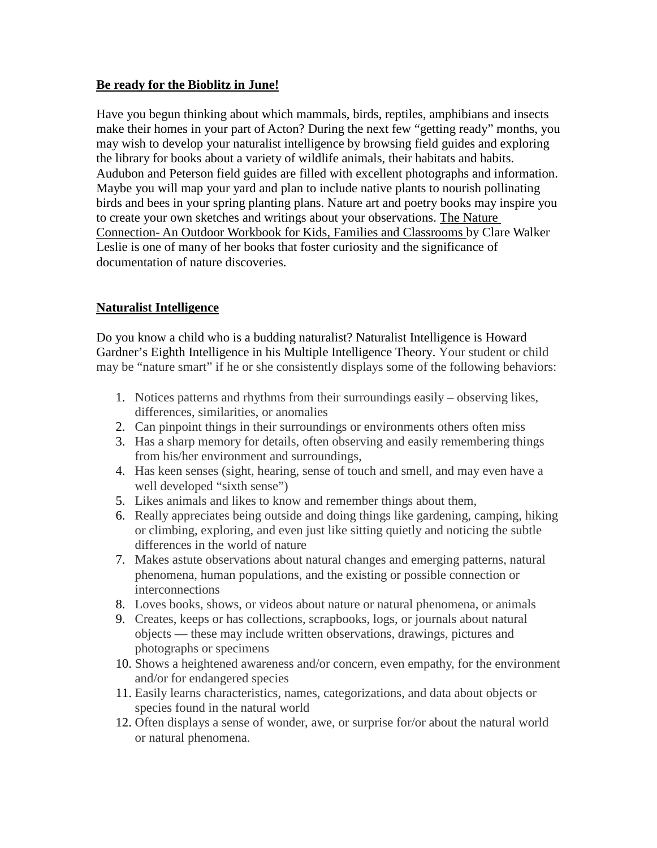#### **Be ready for the Bioblitz in June!**

Have you begun thinking about which mammals, birds, reptiles, amphibians and insects make their homes in your part of Acton? During the next few "getting ready" months, you may wish to develop your naturalist intelligence by browsing field guides and exploring the library for books about a variety of wildlife animals, their habitats and habits. Audubon and Peterson field guides are filled with excellent photographs and information. Maybe you will map your yard and plan to include native plants to nourish pollinating birds and bees in your spring planting plans. Nature art and poetry books may inspire you to create your own sketches and writings about your observations. The Nature Connection- An Outdoor Workbook for Kids, Families and Classrooms by Clare Walker Leslie is one of many of her books that foster curiosity and the significance of documentation of nature discoveries.

### **Naturalist Intelligence**

Do you know a child who is a budding naturalist? Naturalist Intelligence is Howard Gardner's Eighth Intelligence in his Multiple Intelligence Theory. Your student or child may be "nature smart" if he or she consistently displays some of the following behaviors:

- 1. Notices patterns and rhythms from their surroundings easily observing likes, differences, similarities, or anomalies
- 2. Can pinpoint things in their surroundings or environments others often miss
- 3. Has a sharp memory for details, often observing and easily remembering things from his/her environment and surroundings,
- 4. Has keen senses (sight, hearing, sense of touch and smell, and may even have a well developed "sixth sense")
- 5. Likes animals and likes to know and remember things about them,
- 6. Really appreciates being outside and doing things like gardening, camping, hiking or climbing, exploring, and even just like sitting quietly and noticing the subtle differences in the world of nature
- 7. Makes astute observations about natural changes and emerging patterns, natural phenomena, human populations, and the existing or possible connection or interconnections
- 8. Loves books, shows, or videos about nature or natural phenomena, or animals
- 9. Creates, keeps or has collections, scrapbooks, logs, or journals about natural objects — these may include written observations, drawings, pictures and photographs or specimens
- 10. Shows a heightened awareness and/or concern, even empathy, for the environment and/or for endangered species
- 11. Easily learns characteristics, names, categorizations, and data about objects or species found in the natural world
- 12. Often displays a sense of wonder, awe, or surprise for/or about the natural world or natural phenomena.